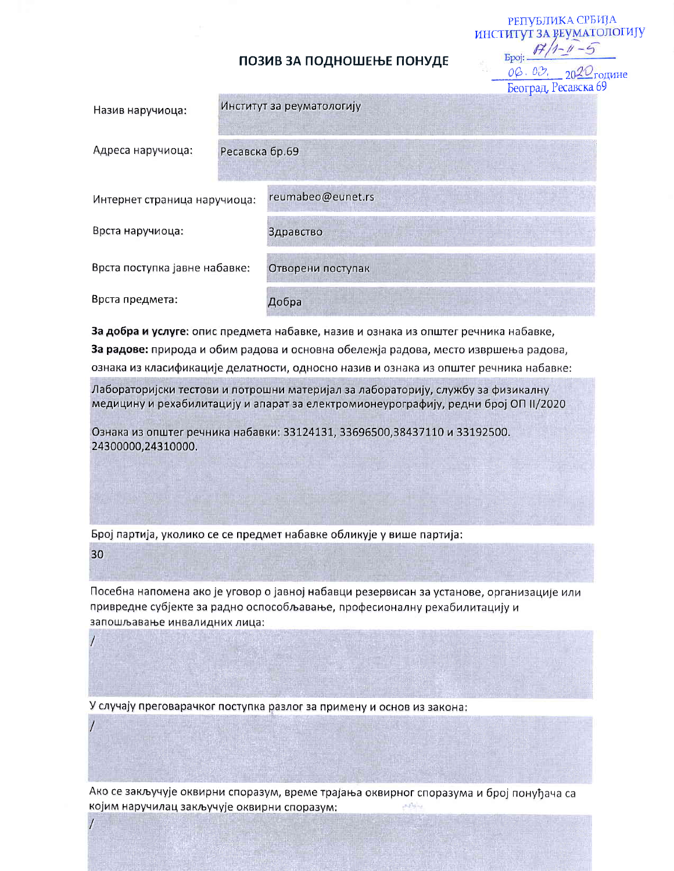## ПОЗИВ ЗА ПОДНОШЕЊЕ ПОНУДЕ

РЕПУБЛИКА СРБИЈА ИНСТИТУТ ЗА ВЕУМАТОЛОГИЈУ

08.03.

|                               |                |                           | Београд, Ресавска бу |
|-------------------------------|----------------|---------------------------|----------------------|
| Назив наручиоца:              |                | Институт за реуматологију |                      |
| Адреса наручиоца:             | Ресавска бр.69 |                           |                      |
| Интернет страница наручиоца:  |                | reumabeo@eunet.rs         |                      |
| Врста наручиоца:              |                | Здравство                 |                      |
| Врста поступка јавне набавке: |                | Отворени поступак         |                      |
| Врста предмета:               |                | Добра                     |                      |

За добра и услуге: опис предмета набавке, назив и ознака из општег речника набавке, За радове: природа и обим радова и основна обележја радова, место извршења радова, ознака из класификације делатности, односно назив и ознака из општег речника набавке:

Лабораторијски тестови и потрошни материјал за лабораторију, службу за физикалну медицину и рехабилитацију и апарат за електромионеурографију, редни број ОП II/2020

Ознака из општег речника набавки: 33124131, 33696500,38437110 и 33192500. 24300000,24310000.

Број партија, уколико се се предмет набавке обликује у више партија:

30

Посебна напомена ако је уговор о јавној набавци резервисан за установе, организације или привредне субјекте за радно оспособљавање, професионалну рехабилитацију и запошљавање инвалидних лица:

У случају преговарачког поступка разлог за примену и основ из закона:

Ако се закључује оквирни споразум, време трајања оквирног споразума и број понуђача са којим наручилац закључује оквирни споразум: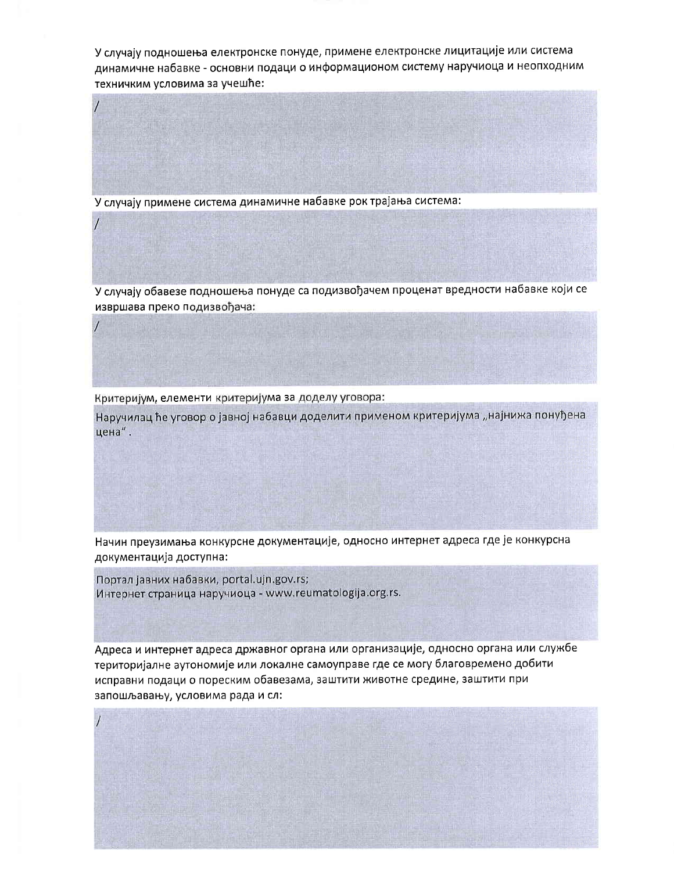У случају подношења електронске понуде, примене електронске лицитације или система динамичне набавке - основни подаци о информационом систему наручиоца и неопходним техничким условима за учешће:

У случају примене система динамичне набавке рок трајања система:

У случају обавезе подношења понуде са подизвођачем проценат вредности набавке који се извршава преко подизвођача:

Критеријум, елементи критеријума за доделу уговора:

Наручилац ће уговор о јавној набавци доделити применом критеријума "најнижа понуђена цена".

Начин преузимања конкурсне документације, односно интернет адреса где је конкурсна документација доступна:

Портал јавних набавки, portal.ujn.gov.rs; Интернет страница наручиоца - www.reumatologija.org.rs.

Адреса и интернет адреса државног органа или организације, односно органа или службе територијалне аутономије или локалне самоуправе где се могу благовремено добити исправни подаци о пореским обавезама, заштити животне средине, заштити при запошљавању, условима рада и сл: